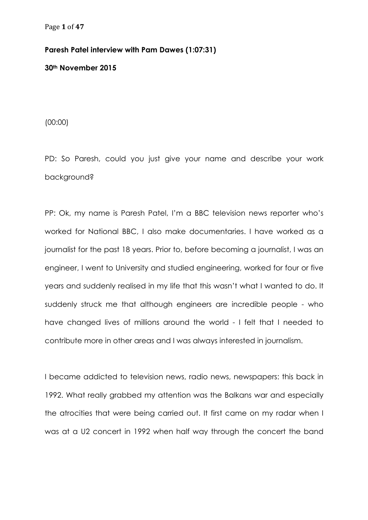## **Paresh Patel interview with Pam Dawes (1:07:31)**

**30th November 2015**

(00:00)

PD: So Paresh, could you just give your name and describe your work background?

PP: Ok, my name is Paresh Patel, I'm a BBC television news reporter who's worked for National BBC, I also make documentaries. I have worked as a journalist for the past 18 years. Prior to, before becoming a journalist, I was an engineer, I went to University and studied engineering, worked for four or five years and suddenly realised in my life that this wasn't what I wanted to do. It suddenly struck me that although engineers are incredible people - who have changed lives of millions around the world - I felt that I needed to contribute more in other areas and I was always interested in journalism.

I became addicted to television news, radio news, newspapers: this back in 1992. What really grabbed my attention was the Balkans war and especially the atrocities that were being carried out. It first came on my radar when I was at a U2 concert in 1992 when half way through the concert the band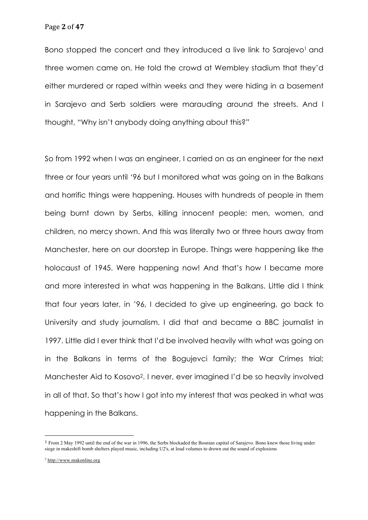Bono stopped the concert and they introduced a live link to Sarajevo<sup>1</sup> and three women came on. He told the crowd at Wembley stadium that they'd either murdered or raped within weeks and they were hiding in a basement in Sarajevo and Serb soldiers were marauding around the streets. And I thought, "Why isn't anybody doing anything about this?"

So from 1992 when I was an engineer, I carried on as an engineer for the next three or four years until '96 but I monitored what was going on in the Balkans and horrific things were happening. Houses with hundreds of people in them being burnt down by Serbs, killing innocent people: men, women, and children, no mercy shown. And this was literally two or three hours away from Manchester, here on our doorstep in Europe. Things were happening like the holocaust of 1945. Were happening now! And that's how I became more and more interested in what was happening in the Balkans. Little did I think that four years later, in '96, I decided to give up engineering, go back to University and study journalism. I did that and became a BBC journalist in 1997. Little did I ever think that I'd be involved heavily with what was going on in the Balkans in terms of the Bogujevci family; the War Crimes trial; Manchester Aid to Kosovo2. I never, ever imagined I'd be so heavily involved in all of that. So that's how I got into my interest that was peaked in what was happening in the Balkans.

<sup>1</sup> From 2 May 1992 until the end of the war in 1996, the Serbs blockaded the Bosnian capital of Sarajevo. Bono knew those living under siege in makeshift bomb shelters played music, including U2's, at loud volumes to drown out the sound of explosions

<sup>2</sup> http://www.makonline.org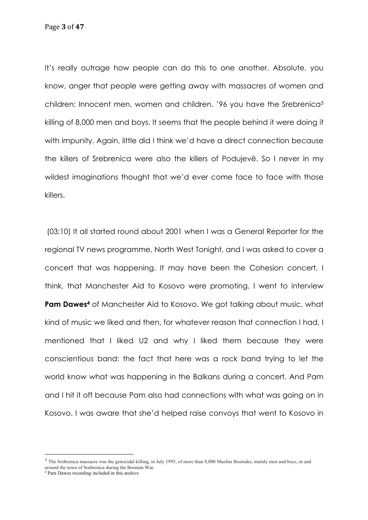Page **3** of **47**

It's really outrage how people can do this to one another. Absolute, you know, anger that people were getting away with massacres of women and children: Innocent men, women and children. '96 you have the Srebrenica3 killing of 8,000 men and boys. It seems that the people behind it were doing it with impunity. Again, little did I think we'd have a direct connection because the killers of Srebrenica were also the killers of Podujevë. So I never in my wildest imaginations thought that we'd ever come face to face with those killers.

(03:10) It all started round about 2001 when I was a General Reporter for the regional TV news programme, North West Tonight, and I was asked to cover a concert that was happening. It may have been the Cohesion concert, I think, that Manchester Aid to Kosovo were promoting. I went to interview **Pam Dawes<sup>4</sup>** of Manchester Aid to Kosovo. We got talking about music, what kind of music we liked and then, for whatever reason that connection I had, I mentioned that I liked U2 and why I liked them because they were conscientious band: the fact that here was a rock band trying to let the world know what was happening in the Balkans during a concert. And Pam and I hit it off because Pam also had connections with what was going on in Kosovo. I was aware that she'd helped raise convoys that went to Kosovo in

<sup>&</sup>lt;sup>3</sup> The Srebrenica massacre was the genocidal killing, in July 1995, of more than 8,000 Muslim Bosniaks, mainly men and boys, in and around the town of Srebrenica during the Bosnian War.

<sup>4</sup> Pam Dawes recording included in this archive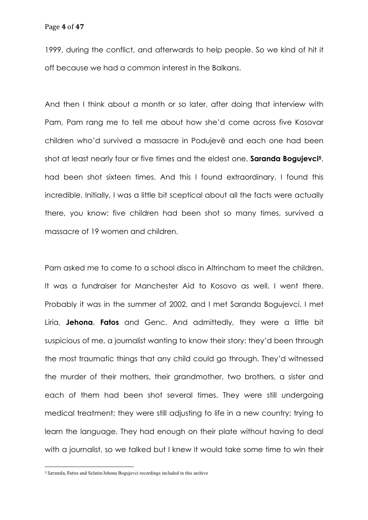1999, during the conflict, and afterwards to help people. So we kind of hit it off because we had a common interest in the Balkans.

And then I think about a month or so later, after doing that interview with Pam, Pam rang me to tell me about how she'd come across five Kosovar children who'd survived a massacre in Podujevë and each one had been shot at least nearly four or five times and the eldest one, **Saranda Bogujevci5**, had been shot sixteen times. And this I found extraordinary. I found this incredible. Initially, I was a little bit sceptical about all the facts were actually there, you know: five children had been shot so many times, survived a massacre of 19 women and children.

Pam asked me to come to a school disco in Altrincham to meet the children. It was a fundraiser for Manchester Aid to Kosovo as well. I went there. Probably it was in the summer of 2002, and I met Saranda Bogujevci. I met Liria, **Jehona**, **Fatos** and Genc. And admittedly, they were a little bit suspicious of me, a journalist wanting to know their story: they'd been through the most traumatic things that any child could go through. They'd witnessed the murder of their mothers, their grandmother, two brothers, a sister and each of them had been shot several times. They were still undergoing medical treatment; they were still adjusting to life in a new country; trying to learn the language. They had enough on their plate without having to deal with a journalist, so we talked but I knew it would take some time to win their

<sup>&</sup>lt;sup>5</sup> Saranda, Fatos and Selatin/Jehona Bogujevci recordings included in this archive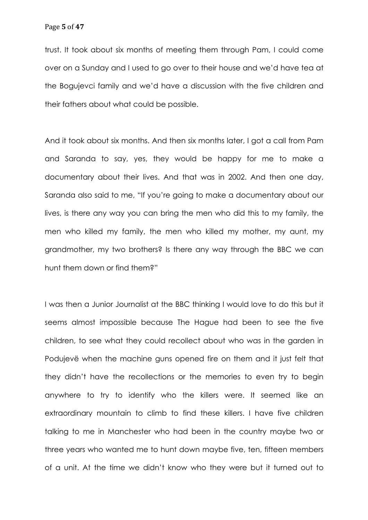trust. It took about six months of meeting them through Pam, I could come over on a Sunday and I used to go over to their house and we'd have tea at the Bogujevci family and we'd have a discussion with the five children and their fathers about what could be possible.

And it took about six months. And then six months later, I got a call from Pam and Saranda to say, yes, they would be happy for me to make a documentary about their lives. And that was in 2002. And then one day, Saranda also said to me, "If you're going to make a documentary about our lives, is there any way you can bring the men who did this to my family, the men who killed my family, the men who killed my mother, my aunt, my grandmother, my two brothers? Is there any way through the BBC we can hunt them down or find them?"

I was then a Junior Journalist at the BBC thinking I would love to do this but it seems almost impossible because The Hague had been to see the five children, to see what they could recollect about who was in the garden in Podujevë when the machine guns opened fire on them and it just felt that they didn't have the recollections or the memories to even try to begin anywhere to try to identify who the killers were. It seemed like an extraordinary mountain to climb to find these killers. I have five children talking to me in Manchester who had been in the country maybe two or three years who wanted me to hunt down maybe five, ten, fifteen members of a unit. At the time we didn't know who they were but it turned out to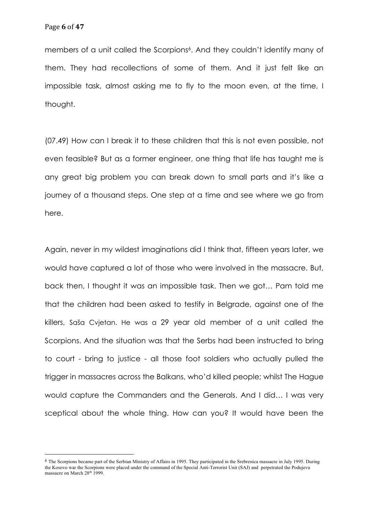members of a unit called the Scorpions<sup>6</sup>. And they couldn't identify many of them. They had recollections of some of them. And it just felt like an impossible task, almost asking me to fly to the moon even, at the time, I thought.

(07.49) How can I break it to these children that this is not even possible, not even feasible? But as a former engineer, one thing that life has taught me is any great big problem you can break down to small parts and it's like a journey of a thousand steps. One step at a time and see where we go from here.

Again, never in my wildest imaginations did I think that, fifteen years later, we would have captured a lot of those who were involved in the massacre. But, back then, I thought it was an impossible task. Then we got… Pam told me that the children had been asked to testify in Belgrade, against one of the killers, Saša Cvjetan. He was a 29 year old member of a unit called the Scorpions. And the situation was that the Serbs had been instructed to bring to court - bring to justice - all those foot soldiers who actually pulled the trigger in massacres across the Balkans, who'd killed people; whilst The Hague would capture the Commanders and the Generals. And I did… I was very sceptical about the whole thing. How can you? It would have been the

<sup>6</sup> The Scorpions became part of the Serbian Ministry of Affairs in 1995. They participated in the Srebrenica massacre in July 1995. During the Kosovo war the Scorpions were placed under the command of the Special Anti-Terrorist Unit (SAJ) and perpetrated the Podujeva massacre on March 28<sup>th</sup> 1999.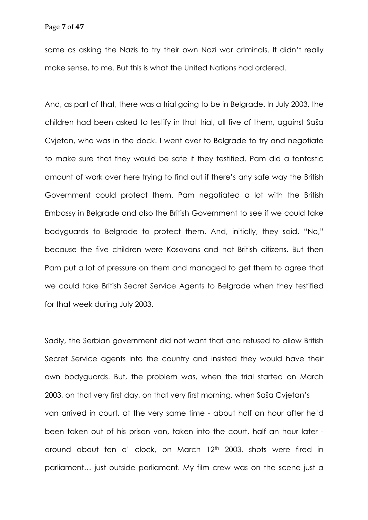same as asking the Nazis to try their own Nazi war criminals. It didn't really make sense, to me. But this is what the United Nations had ordered.

And, as part of that, there was a trial going to be in Belgrade. In July 2003, the children had been asked to testify in that trial, all five of them, against Saša Cvjetan, who was in the dock. I went over to Belgrade to try and negotiate to make sure that they would be safe if they testified. Pam did a fantastic amount of work over here trying to find out if there's any safe way the British Government could protect them. Pam negotiated a lot with the British Embassy in Belgrade and also the British Government to see if we could take bodyguards to Belgrade to protect them. And, initially, they said, "No," because the five children were Kosovans and not British citizens. But then Pam put a lot of pressure on them and managed to get them to agree that we could take British Secret Service Agents to Belgrade when they testified for that week during July 2003.

Sadly, the Serbian government did not want that and refused to allow British Secret Service agents into the country and insisted they would have their own bodyguards. But, the problem was, when the trial started on March 2003, on that very first day, on that very first morning, when Saša Cvjetan's van arrived in court, at the very same time - about half an hour after he'd been taken out of his prison van, taken into the court, half an hour later around about ten o' clock, on March 12<sup>th</sup> 2003, shots were fired in parliament… just outside parliament. My film crew was on the scene just a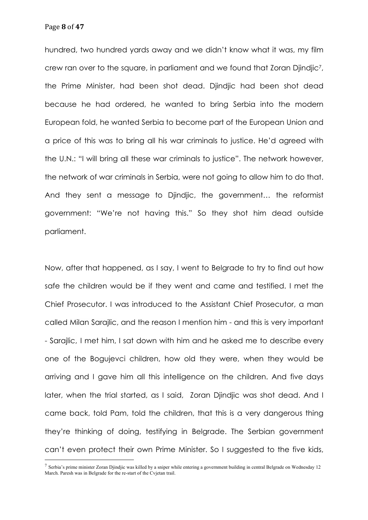Page **8** of **47**

hundred, two hundred yards away and we didn't know what it was, my film crew ran over to the square, in parliament and we found that Zoran Djindjic7, the Prime Minister, had been shot dead. Djindjic had been shot dead because he had ordered, he wanted to bring Serbia into the modern European fold, he wanted Serbia to become part of the European Union and a price of this was to bring all his war criminals to justice. He'd agreed with the U.N.: "I will bring all these war criminals to justice". The network however, the network of war criminals in Serbia, were not going to allow him to do that. And they sent a message to Djindjic, the government… the reformist government: "We're not having this." So they shot him dead outside parliament.

Now, after that happened, as I say, I went to Belgrade to try to find out how safe the children would be if they went and came and testified. I met the Chief Prosecutor. I was introduced to the Assistant Chief Prosecutor, a man called Milan Sarajlic, and the reason I mention him - and this is very important - Sarajlic, I met him, I sat down with him and he asked me to describe every one of the Bogujevci children, how old they were, when they would be arriving and I gave him all this intelligence on the children. And five days later, when the trial started, as I said, Zoran Djindjic was shot dead. And I came back, told Pam, told the children, that this is a very dangerous thing they're thinking of doing, testifying in Belgrade. The Serbian government can't even protect their own Prime Minister. So I suggested to the five kids,

 $^7$  Serbia's prime minister Zoran Djindjic was killed by a sniper while entering a government building in central Belgrade on Wednesday 12 March. Paresh was in Belgrade for the re-start of the Cvjetan trail.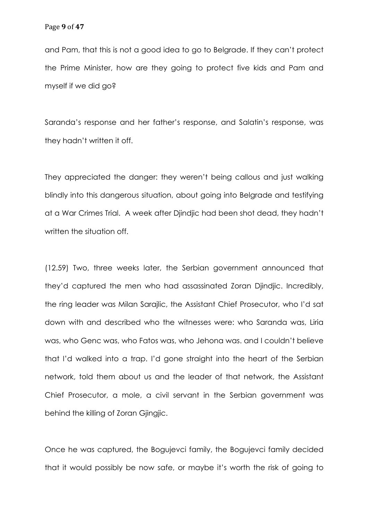and Pam, that this is not a good idea to go to Belgrade. If they can't protect the Prime Minister, how are they going to protect five kids and Pam and myself if we did go?

Saranda's response and her father's response, and Salatin's response, was they hadn't written it off.

They appreciated the danger: they weren't being callous and just walking blindly into this dangerous situation, about going into Belgrade and testifying at a War Crimes Trial. A week after Djindjic had been shot dead, they hadn't written the situation off.

(12.59) Two, three weeks later, the Serbian government announced that they'd captured the men who had assassinated Zoran Djindjic. Incredibly, the ring leader was Milan Sarajlic, the Assistant Chief Prosecutor, who I'd sat down with and described who the witnesses were: who Saranda was, Liria was, who Genc was, who Fatos was, who Jehona was. and I couldn't believe that I'd walked into a trap. I'd gone straight into the heart of the Serbian network, told them about us and the leader of that network, the Assistant Chief Prosecutor, a mole, a civil servant in the Serbian government was behind the killing of Zoran Gjingjic.

Once he was captured, the Bogujevci family, the Bogujevci family decided that it would possibly be now safe, or maybe it's worth the risk of going to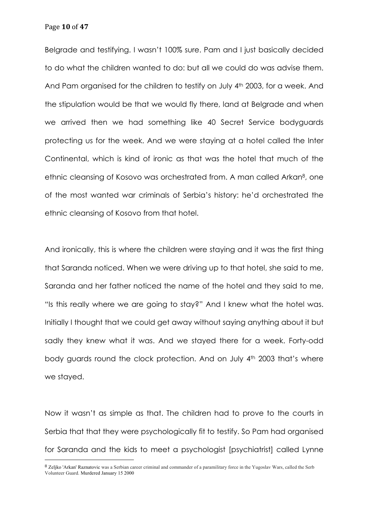Page **10** of **47**

Belgrade and testifying. I wasn't 100% sure. Pam and I just basically decided to do what the children wanted to do: but all we could do was advise them. And Pam organised for the children to testify on July 4th 2003, for a week. And the stipulation would be that we would fly there, land at Belgrade and when we arrived then we had something like 40 Secret Service bodyguards protecting us for the week. And we were staying at a hotel called the Inter Continental, which is kind of ironic as that was the hotel that much of the ethnic cleansing of Kosovo was orchestrated from. A man called Arkan<sup>8</sup>, one of the most wanted war criminals of Serbia's history: he'd orchestrated the ethnic cleansing of Kosovo from that hotel.

And ironically, this is where the children were staying and it was the first thing that Saranda noticed. When we were driving up to that hotel, she said to me, Saranda and her father noticed the name of the hotel and they said to me, "Is this really where we are going to stay?" And I knew what the hotel was. Initially I thought that we could get away without saying anything about it but sadly they knew what it was. And we stayed there for a week. Forty-odd body guards round the clock protection. And on July 4<sup>th</sup> 2003 that's where we stayed.

Now it wasn't as simple as that. The children had to prove to the courts in Serbia that that they were psychologically fit to testify. So Pam had organised for Saranda and the kids to meet a psychologist [psychiatrist] called Lynne

<sup>8</sup> Zeljko 'Arkan' Raznatovic was a Serbian career criminal and commander of a paramilitary force in the Yugoslav Wars, called the Serb Volunteer Guard. Murdered January 15 2000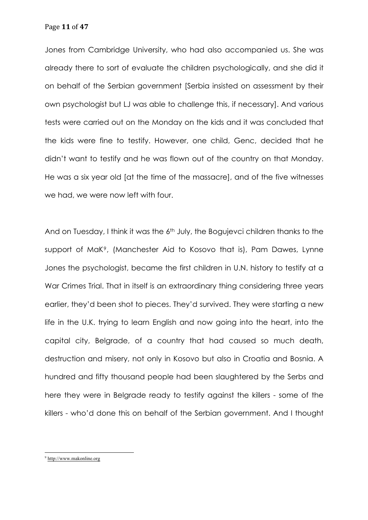Page **11** of **47**

Jones from Cambridge University, who had also accompanied us. She was already there to sort of evaluate the children psychologically, and she did it on behalf of the Serbian government [Serbia insisted on assessment by their own psychologist but LJ was able to challenge this, if necessary]. And various tests were carried out on the Monday on the kids and it was concluded that the kids were fine to testify. However, one child, Genc, decided that he didn't want to testify and he was flown out of the country on that Monday. He was a six year old [at the time of the massacre], and of the five witnesses we had, we were now left with four.

And on Tuesday, I think it was the 6<sup>th</sup> July, the Bogujevci children thanks to the support of MaK9, (Manchester Aid to Kosovo that is), Pam Dawes, Lynne Jones the psychologist, became the first children in U.N. history to testify at a War Crimes Trial. That in itself is an extraordinary thing considering three years earlier, they'd been shot to pieces. They'd survived. They were starting a new life in the U.K. trying to learn English and now going into the heart, into the capital city, Belgrade, of a country that had caused so much death, destruction and misery, not only in Kosovo but also in Croatia and Bosnia. A hundred and fifty thousand people had been slaughtered by the Serbs and here they were in Belgrade ready to testify against the killers - some of the killers - who'd done this on behalf of the Serbian government. And I thought

<sup>9</sup> http://www.makonline.org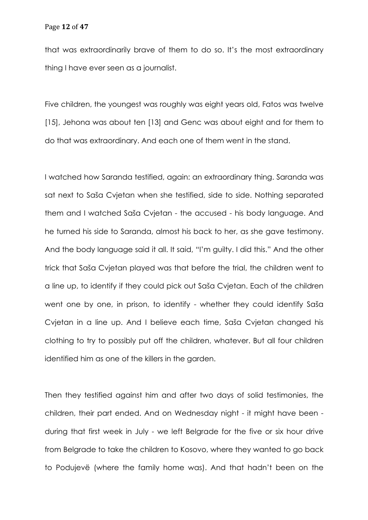that was extraordinarily brave of them to do so. It's the most extraordinary thing I have ever seen as a journalist.

Five children, the youngest was roughly was eight years old, Fatos was twelve [15], Jehona was about ten [13] and Genc was about eight and for them to do that was extraordinary. And each one of them went in the stand.

I watched how Saranda testified, again: an extraordinary thing. Saranda was sat next to Saša Cvjetan when she testified, side to side. Nothing separated them and I watched Saša Cvjetan - the accused - his body language. And he turned his side to Saranda, almost his back to her, as she gave testimony. And the body language said it all. It said, "I'm guilty. I did this." And the other trick that Saša Cvjetan played was that before the trial, the children went to a line up, to identify if they could pick out Saša Cvjetan. Each of the children went one by one, in prison, to identify - whether they could identify Saša Cvjetan in a line up. And I believe each time, Saša Cvjetan changed his clothing to try to possibly put off the children, whatever. But all four children identified him as one of the killers in the garden.

Then they testified against him and after two days of solid testimonies, the children, their part ended. And on Wednesday night - it might have been during that first week in July - we left Belgrade for the five or six hour drive from Belgrade to take the children to Kosovo, where they wanted to go back to Podujevë (where the family home was). And that hadn't been on the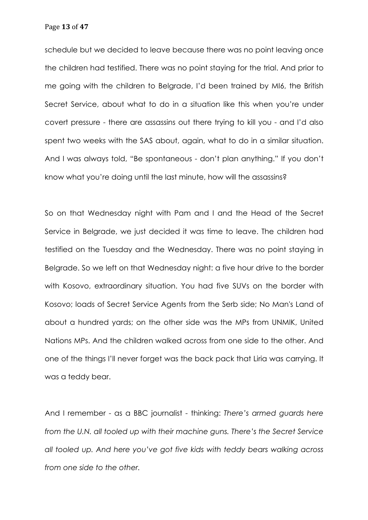Page **13** of **47**

schedule but we decided to leave because there was no point leaving once the children had testified. There was no point staying for the trial. And prior to me going with the children to Belgrade, I'd been trained by MI6, the British Secret Service, about what to do in a situation like this when you're under covert pressure - there are assassins out there trying to kill you - and I'd also spent two weeks with the SAS about, again, what to do in a similar situation. And I was always told, "Be spontaneous - don't plan anything." If you don't know what you're doing until the last minute, how will the assassins?

So on that Wednesday night with Pam and I and the Head of the Secret Service in Belgrade, we just decided it was time to leave. The children had testified on the Tuesday and the Wednesday. There was no point staying in Belgrade. So we left on that Wednesday night: a five hour drive to the border with Kosovo, extraordinary situation. You had five SUVs on the border with Kosovo; loads of Secret Service Agents from the Serb side; No Man's Land of about a hundred yards; on the other side was the MPs from UNMIK, United Nations MPs. And the children walked across from one side to the other. And one of the things I'll never forget was the back pack that Liria was carrying. It was a teddy bear.

And I remember - as a BBC journalist - thinking: *There's armed guards here from the U.N. all tooled up with their machine guns. There's the Secret Service all tooled up. And here you've got five kids with teddy bears walking across from one side to the other.*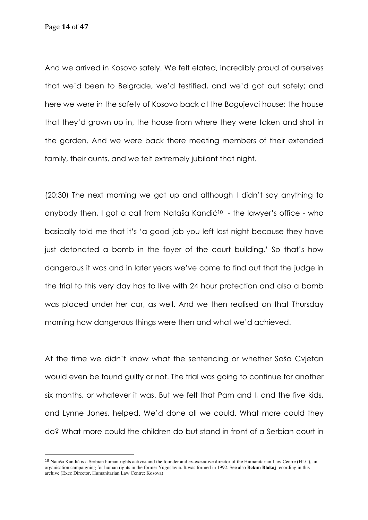Page **14** of **47**

And we arrived in Kosovo safely. We felt elated, incredibly proud of ourselves that we'd been to Belgrade, we'd testified, and we'd got out safely; and here we were in the safety of Kosovo back at the Bogujevci house: the house that they'd grown up in, the house from where they were taken and shot in the garden. And we were back there meeting members of their extended family, their aunts, and we felt extremely jubilant that night.

(20:30) The next morning we got up and although I didn't say anything to anybody then, I got a call from Nataša Kandić<sup>10</sup> - the lawyer's office - who basically told me that it's 'a good job you left last night because they have just detonated a bomb in the foyer of the court building.' So that's how dangerous it was and in later years we've come to find out that the judge in the trial to this very day has to live with 24 hour protection and also a bomb was placed under her car, as well. And we then realised on that Thursday morning how dangerous things were then and what we'd achieved.

At the time we didn't know what the sentencing or whether Saša Cvjetan would even be found guilty or not. The trial was going to continue for another six months, or whatever it was. But we felt that Pam and I, and the five kids, and Lynne Jones, helped. We'd done all we could. What more could they do? What more could the children do but stand in front of a Serbian court in

<sup>10</sup> Nataša Kandić is a Serbian human rights activist and the founder and ex-executive director of the Humanitarian Law Centre (HLC), an organisation campaigning for human rights in the former Yugoslavia. It was formed in 1992. See also **Bekim Blakaj** recording in this archive (Exec Director, Humanitarian Law Centre: Kosova)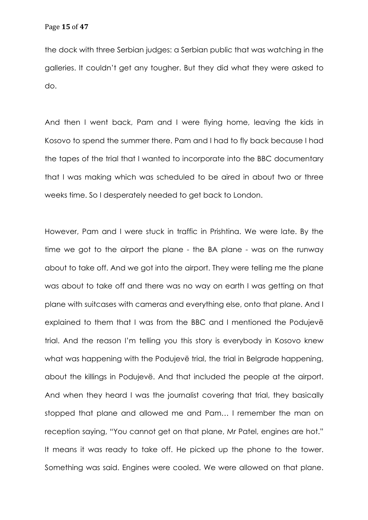the dock with three Serbian judges: a Serbian public that was watching in the galleries. It couldn't get any tougher. But they did what they were asked to do.

And then I went back, Pam and I were flying home, leaving the kids in Kosovo to spend the summer there. Pam and I had to fly back because I had the tapes of the trial that I wanted to incorporate into the BBC documentary that I was making which was scheduled to be aired in about two or three weeks time. So I desperately needed to get back to London.

However, Pam and I were stuck in traffic in Prishtina. We were late. By the time we got to the airport the plane - the BA plane - was on the runway about to take off. And we got into the airport. They were telling me the plane was about to take off and there was no way on earth I was getting on that plane with suitcases with cameras and everything else, onto that plane. And I explained to them that I was from the BBC and I mentioned the Podujevë trial. And the reason I'm telling you this story is everybody in Kosovo knew what was happening with the Podujevë trial, the trial in Belgrade happening, about the killings in Podujevë. And that included the people at the airport. And when they heard I was the journalist covering that trial, they basically stopped that plane and allowed me and Pam… I remember the man on reception saying, "You cannot get on that plane, Mr Patel, engines are hot." It means it was ready to take off. He picked up the phone to the tower. Something was said. Engines were cooled. We were allowed on that plane.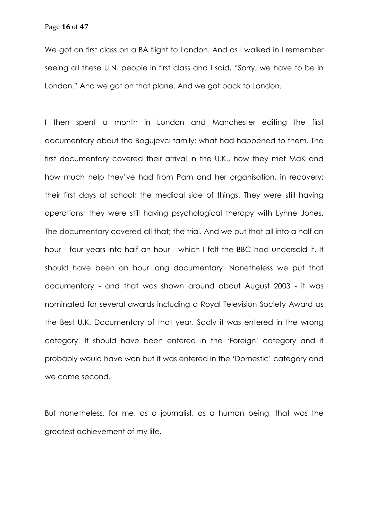We got on first class on a BA flight to London. And as I walked in I remember seeing all these U.N. people in first class and I said, "Sorry, we have to be in London." And we got on that plane. And we got back to London.

I then spent a month in London and Manchester editing the first documentary about the Bogujevci family: what had happened to them. The first documentary covered their arrival in the U.K., how they met MaK and how much help they've had from Pam and her organisation, in recovery; their first days at school; the medical side of things. They were still having operations; they were still having psychological therapy with Lynne Jones. The documentary covered all that; the trial. And we put that all into a half an hour - four years into half an hour - which I felt the BBC had undersold it. It should have been an hour long documentary. Nonetheless we put that documentary - and that was shown around about August 2003 - it was nominated for several awards including a Royal Television Society Award as the Best U.K. Documentary of that year. Sadly it was entered in the wrong category. It should have been entered in the 'Foreign' category and it probably would have won but it was entered in the 'Domestic' category and we came second.

But nonetheless, for me, as a journalist, as a human being, that was the greatest achievement of my life.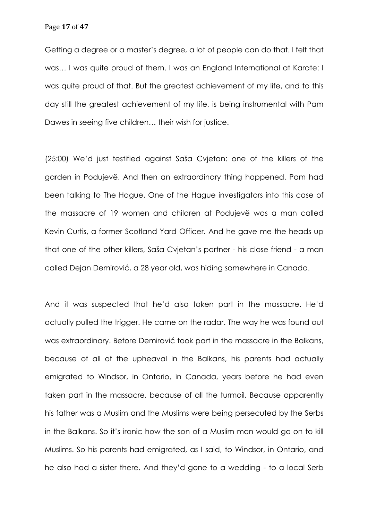Getting a degree or a master's degree, a lot of people can do that. I felt that was… I was quite proud of them. I was an England International at Karate: I was quite proud of that. But the greatest achievement of my life, and to this day still the greatest achievement of my life, is being instrumental with Pam Dawes in seeing five children… their wish for justice.

(25:00) We'd just testified against Saša Cvjetan: one of the killers of the garden in Podujevë. And then an extraordinary thing happened. Pam had been talking to The Hague. One of the Hague investigators into this case of the massacre of 19 women and children at Podujevë was a man called Kevin Curtis, a former Scotland Yard Officer. And he gave me the heads up that one of the other killers, Saša Cvjetan's partner - his close friend - a man called Dejan Demirović, a 28 year old, was hiding somewhere in Canada.

And it was suspected that he'd also taken part in the massacre. He'd actually pulled the trigger. He came on the radar. The way he was found out was extraordinary. Before Demirović took part in the massacre in the Balkans, because of all of the upheaval in the Balkans, his parents had actually emigrated to Windsor, in Ontario, in Canada, years before he had even taken part in the massacre, because of all the turmoil. Because apparently his father was a Muslim and the Muslims were being persecuted by the Serbs in the Balkans. So it's ironic how the son of a Muslim man would go on to kill Muslims. So his parents had emigrated, as I said, to Windsor, in Ontario, and he also had a sister there. And they'd gone to a wedding - to a local Serb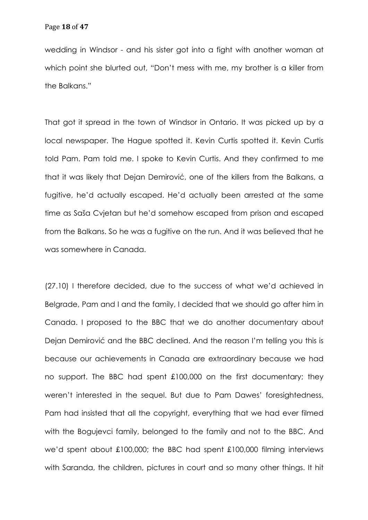wedding in Windsor - and his sister got into a fight with another woman at which point she blurted out, "Don't mess with me, my brother is a killer from the Balkans."

That got it spread in the town of Windsor in Ontario. It was picked up by a local newspaper. The Hague spotted it. Kevin Curtis spotted it. Kevin Curtis told Pam. Pam told me. I spoke to Kevin Curtis. And they confirmed to me that it was likely that Dejan Demirović, one of the killers from the Balkans, a fugitive, he'd actually escaped. He'd actually been arrested at the same time as Saša Cvjetan but he'd somehow escaped from prison and escaped from the Balkans. So he was a fugitive on the run. And it was believed that he was somewhere in Canada.

(27.10) I therefore decided, due to the success of what we'd achieved in Belgrade, Pam and I and the family, I decided that we should go after him in Canada. I proposed to the BBC that we do another documentary about Dejan Demirović and the BBC declined. And the reason I'm telling you this is because our achievements in Canada are extraordinary because we had no support. The BBC had spent £100,000 on the first documentary; they weren't interested in the sequel. But due to Pam Dawes' foresightedness, Pam had insisted that all the copyright, everything that we had ever filmed with the Bogujevci family, belonged to the family and not to the BBC. And we'd spent about £100,000; the BBC had spent £100,000 filming interviews with Saranda, the children, pictures in court and so many other things. It hit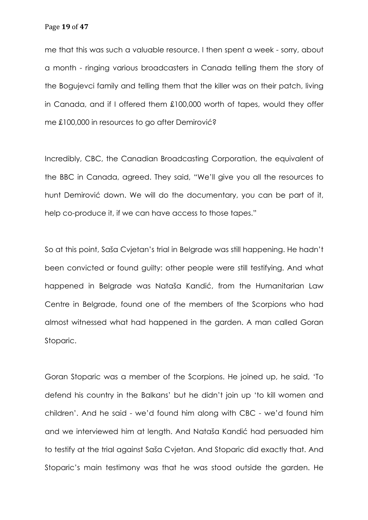me that this was such a valuable resource. I then spent a week - sorry, about a month - ringing various broadcasters in Canada telling them the story of the Bogujevci family and telling them that the killer was on their patch, living in Canada, and if I offered them £100,000 worth of tapes, would they offer me £100,000 in resources to go after Demirović?

Incredibly, CBC, the Canadian Broadcasting Corporation, the equivalent of the BBC in Canada, agreed. They said, "We'll give you all the resources to hunt Demirović down. We will do the documentary, you can be part of it, help co-produce it, if we can have access to those tapes."

So at this point, Saša Cvjetan's trial in Belgrade was still happening. He hadn't been convicted or found guilty: other people were still testifying. And what happened in Belgrade was Nataša Kandić, from the Humanitarian Law Centre in Belgrade, found one of the members of the Scorpions who had almost witnessed what had happened in the garden. A man called Goran Stoparic.

Goran Stoparic was a member of the Scorpions. He joined up, he said, 'To defend his country in the Balkans' but he didn't join up 'to kill women and children'. And he said - we'd found him along with CBC - we'd found him and we interviewed him at length. And Nataša Kandić had persuaded him to testify at the trial against Saša Cvjetan. And Stoparic did exactly that. And Stoparic's main testimony was that he was stood outside the garden. He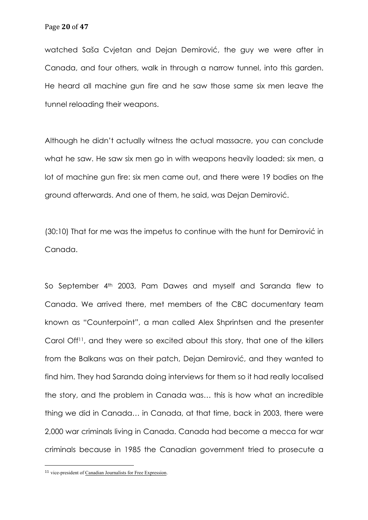watched Saša Cvjetan and Dejan Demirović, the guy we were after in Canada, and four others, walk in through a narrow tunnel, into this garden. He heard all machine gun fire and he saw those same six men leave the tunnel reloading their weapons.

Although he didn't actually witness the actual massacre, you can conclude what he saw. He saw six men go in with weapons heavily loaded: six men, a lot of machine gun fire: six men came out, and there were 19 bodies on the ground afterwards. And one of them, he said, was Dejan Demirović.

(30:10) That for me was the impetus to continue with the hunt for Demirović in Canada.

So September 4<sup>th</sup> 2003, Pam Dawes and myself and Saranda flew to Canada. We arrived there, met members of the CBC documentary team known as "Counterpoint", a man called Alex Shprintsen and the presenter Carol Off<sup>11</sup>, and they were so excited about this story, that one of the killers from the Balkans was on their patch, Dejan Demirović, and they wanted to find him. They had Saranda doing interviews for them so it had really localised the story, and the problem in Canada was… this is how what an incredible thing we did in Canada… in Canada, at that time, back in 2003, there were 2,000 war criminals living in Canada. Canada had become a mecca for war criminals because in 1985 the Canadian government tried to prosecute a

<sup>11</sup> vice-president of Canadian Journalists for Free Expression.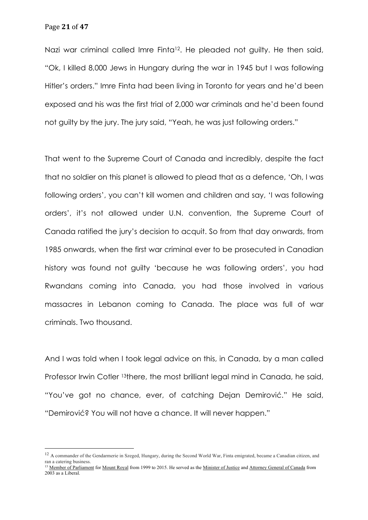Nazi war criminal called Imre Finta<sup>12</sup>. He pleaded not guilty. He then said, "Ok, I killed 8,000 Jews in Hungary during the war in 1945 but I was following Hitler's orders." Imre Finta had been living in Toronto for years and he'd been exposed and his was the first trial of 2,000 war criminals and he'd been found not guilty by the jury. The jury said, "Yeah, he was just following orders."

That went to the Supreme Court of Canada and incredibly, despite the fact that no soldier on this planet is allowed to plead that as a defence, 'Oh, I was following orders', you can't kill women and children and say, 'I was following orders', it's not allowed under U.N. convention, the Supreme Court of Canada ratified the jury's decision to acquit. So from that day onwards, from 1985 onwards, when the first war criminal ever to be prosecuted in Canadian history was found not guilty 'because he was following orders', you had Rwandans coming into Canada, you had those involved in various massacres in Lebanon coming to Canada. The place was full of war criminals. Two thousand.

And I was told when I took legal advice on this, in Canada, by a man called Professor Irwin Cotler 13there, the most brilliant legal mind in Canada, he said, "You've got no chance, ever, of catching Dejan Demirović." He said, "Demirović? You will not have a chance. It will never happen."

<sup>&</sup>lt;sup>12</sup> A commander of the Gendarmerie in Szeged, Hungary, during the Second World War, Finta emigrated, became a Canadian citizen, and ran a catering business.

<sup>&</sup>lt;sup>13</sup> Member of Parliament for Mount Royal from 1999 to 2015. He served as the Minister of Justice and Attorney General of Canada from 2003 as a Liberal.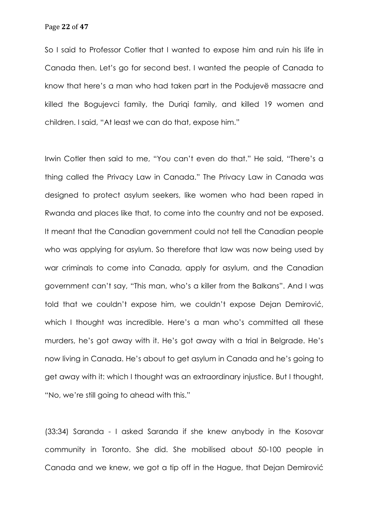So I said to Professor Cotler that I wanted to expose him and ruin his life in Canada then. Let's go for second best. I wanted the people of Canada to know that here's a man who had taken part in the Podujevë massacre and killed the Bogujevci family, the Duriqi family, and killed 19 women and children. I said, "At least we can do that, expose him."

Irwin Cotler then said to me, "You can't even do that." He said, "There's a thing called the Privacy Law in Canada." The Privacy Law in Canada was designed to protect asylum seekers, like women who had been raped in Rwanda and places like that, to come into the country and not be exposed. It meant that the Canadian government could not tell the Canadian people who was applying for asylum. So therefore that law was now being used by war criminals to come into Canada, apply for asylum, and the Canadian government can't say, "This man, who's a killer from the Balkans". And I was told that we couldn't expose him, we couldn't expose Dejan Demirović, which I thought was incredible. Here's a man who's committed all these murders, he's got away with it. He's got away with a trial in Belgrade. He's now living in Canada. He's about to get asylum in Canada and he's going to get away with it: which I thought was an extraordinary injustice. But I thought, "No, we're still going to ahead with this."

(33:34) Saranda - I asked Saranda if she knew anybody in the Kosovar community in Toronto. She did. She mobilised about 50-100 people in Canada and we knew, we got a tip off in the Hague, that Dejan Demirović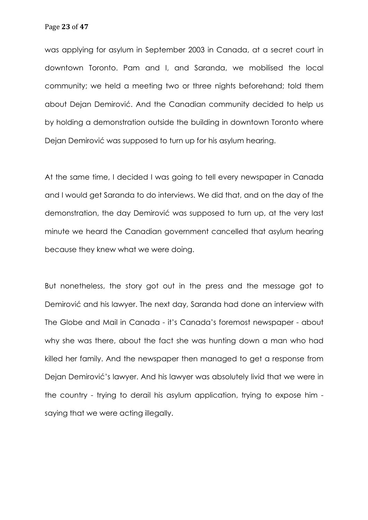was applying for asylum in September 2003 in Canada, at a secret court in downtown Toronto. Pam and I, and Saranda, we mobilised the local community; we held a meeting two or three nights beforehand; told them about Dejan Demirović. And the Canadian community decided to help us by holding a demonstration outside the building in downtown Toronto where Dejan Demirović was supposed to turn up for his asylum hearing.

At the same time, I decided I was going to tell every newspaper in Canada and I would get Saranda to do interviews. We did that, and on the day of the demonstration, the day Demirović was supposed to turn up, at the very last minute we heard the Canadian government cancelled that asylum hearing because they knew what we were doing.

But nonetheless, the story got out in the press and the message got to Demirović and his lawyer. The next day, Saranda had done an interview with The Globe and Mail in Canada - it's Canada's foremost newspaper - about why she was there, about the fact she was hunting down a man who had killed her family. And the newspaper then managed to get a response from Dejan Demirović's lawyer. And his lawyer was absolutely livid that we were in the country - trying to derail his asylum application, trying to expose him saying that we were acting illegally.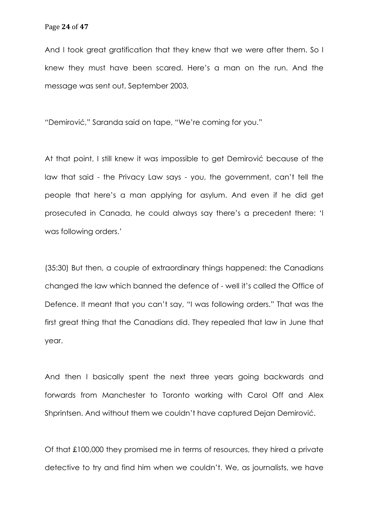And I took great gratification that they knew that we were after them. So I knew they must have been scared. Here's a man on the run. And the message was sent out, September 2003,

"Demirović," Saranda said on tape, "We're coming for you."

At that point, I still knew it was impossible to get Demirović because of the law that said - the Privacy Law says - you, the government, can't tell the people that here's a man applying for asylum. And even if he did get prosecuted in Canada, he could always say there's a precedent there: 'I was following orders.'

(35:30) But then, a couple of extraordinary things happened: the Canadians changed the law which banned the defence of - well it's called the Office of Defence. It meant that you can't say, "I was following orders." That was the first great thing that the Canadians did. They repealed that law in June that year.

And then I basically spent the next three years going backwards and forwards from Manchester to Toronto working with Carol Off and Alex Shprintsen. And without them we couldn't have captured Dejan Demirović.

Of that £100,000 they promised me in terms of resources, they hired a private detective to try and find him when we couldn't. We, as journalists, we have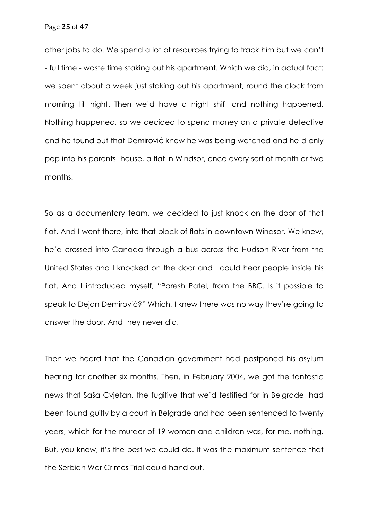other jobs to do. We spend a lot of resources trying to track him but we can't - full time - waste time staking out his apartment. Which we did, in actual fact: we spent about a week just staking out his apartment, round the clock from morning till night. Then we'd have a night shift and nothing happened. Nothing happened, so we decided to spend money on a private detective and he found out that Demirović knew he was being watched and he'd only pop into his parents' house, a flat in Windsor, once every sort of month or two months.

So as a documentary team, we decided to just knock on the door of that flat. And I went there, into that block of flats in downtown Windsor. We knew, he'd crossed into Canada through a bus across the Hudson River from the United States and I knocked on the door and I could hear people inside his flat. And I introduced myself, "Paresh Patel, from the BBC. Is it possible to speak to Dejan Demirović?" Which, I knew there was no way they're going to answer the door. And they never did.

Then we heard that the Canadian government had postponed his asylum hearing for another six months. Then, in February 2004, we got the fantastic news that Saša Cvjetan, the fugitive that we'd testified for in Belgrade, had been found guilty by a court in Belgrade and had been sentenced to twenty years, which for the murder of 19 women and children was, for me, nothing. But, you know, it's the best we could do. It was the maximum sentence that the Serbian War Crimes Trial could hand out.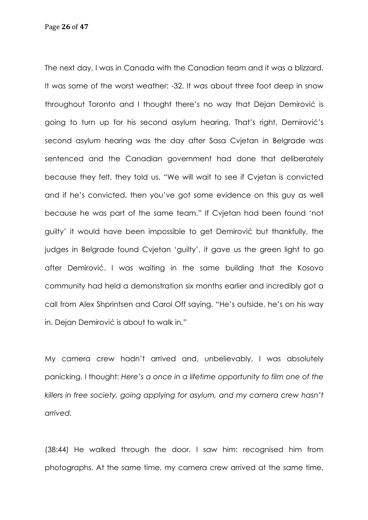Page **26** of **47**

The next day, I was in Canada with the Canadian team and it was a blizzard. It was some of the worst weather: -32. It was about three foot deep in snow throughout Toronto and I thought there's no way that Dejan Demirović is going to turn up for his second asylum hearing. That's right, Demirović's second asylum hearing was the day after Sasa Cvjetan in Belgrade was sentenced and the Canadian government had done that deliberately because they felt, they told us, "We will wait to see if Cvjetan is convicted and if he's convicted, then you've got some evidence on this guy as well because he was part of the same team." If Cvjetan had been found 'not guilty' it would have been impossible to get Demirović but thankfully, the judges in Belgrade found Cvjetan 'guilty', it gave us the green light to go after Demirović. I was waiting in the same building that the Kosovo community had held a demonstration six months earlier and incredibly got a call from Alex Shprintsen and Carol Off saying, "He's outside, he's on his way in. Dejan Demirović is about to walk in."

My camera crew hadn't arrived and, unbelievably, I was absolutely panicking. I thought: *Here's a once in a lifetime opportunity to film one of the killers in free society, going applying for asylum, and my camera crew hasn't arrived.*

(38:44) He walked through the door. I saw him: recognised him from photographs. At the same time, my camera crew arrived at the same time,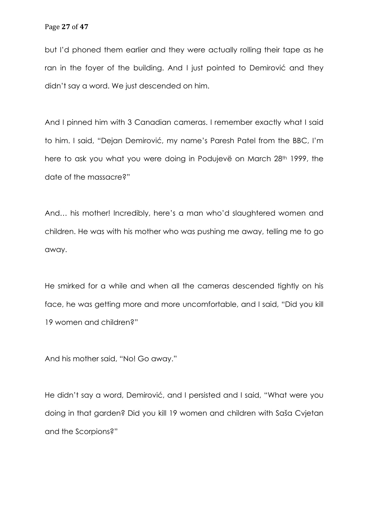but I'd phoned them earlier and they were actually rolling their tape as he ran in the foyer of the building. And I just pointed to Demirović and they didn't say a word. We just descended on him.

And I pinned him with 3 Canadian cameras. I remember exactly what I said to him. I said, "Dejan Demirović, my name's Paresh Patel from the BBC, I'm here to ask you what you were doing in Podujevë on March 28<sup>th</sup> 1999, the date of the massacre?"

And… his mother! Incredibly, here's a man who'd slaughtered women and children. He was with his mother who was pushing me away, telling me to go away.

He smirked for a while and when all the cameras descended tightly on his face, he was getting more and more uncomfortable, and I said, "Did you kill 19 women and children?"

And his mother said, "No! Go away."

He didn't say a word, Demirović, and I persisted and I said, "What were you doing in that garden? Did you kill 19 women and children with Saša Cvjetan and the Scorpions?"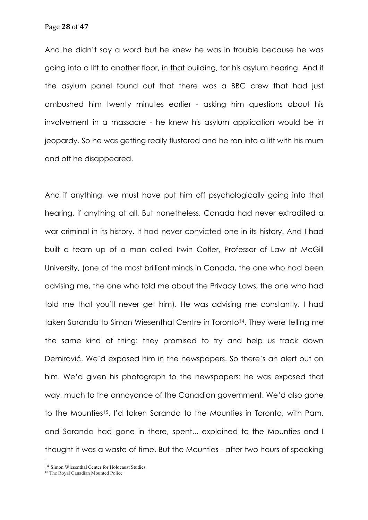And he didn't say a word but he knew he was in trouble because he was going into a lift to another floor, in that building, for his asylum hearing. And if the asylum panel found out that there was a BBC crew that had just ambushed him twenty minutes earlier - asking him questions about his involvement in a massacre - he knew his asylum application would be in jeopardy. So he was getting really flustered and he ran into a lift with his mum and off he disappeared.

And if anything, we must have put him off psychologically going into that hearing, if anything at all. But nonetheless, Canada had never extradited a war criminal in its history. It had never convicted one in its history. And I had built a team up of a man called Irwin Cotler, Professor of Law at McGill University, (one of the most brilliant minds in Canada, the one who had been advising me, the one who told me about the Privacy Laws, the one who had told me that you'll never get him). He was advising me constantly. I had taken Saranda to Simon Wiesenthal Centre in Toronto<sup>14</sup>. They were telling me the same kind of thing: they promised to try and help us track down Demirović. We'd exposed him in the newspapers. So there's an alert out on him. We'd given his photograph to the newspapers: he was exposed that way, much to the annoyance of the Canadian government. We'd also gone to the Mounties15. I'd taken Saranda to the Mounties in Toronto, with Pam, and Saranda had gone in there, spent... explained to the Mounties and I thought it was a waste of time. But the Mounties - after two hours of speaking

<sup>14</sup> Simon Wiesenthal Center for Holocaust Studies

<sup>&</sup>lt;sup>15</sup> The Royal Canadian Mounted Police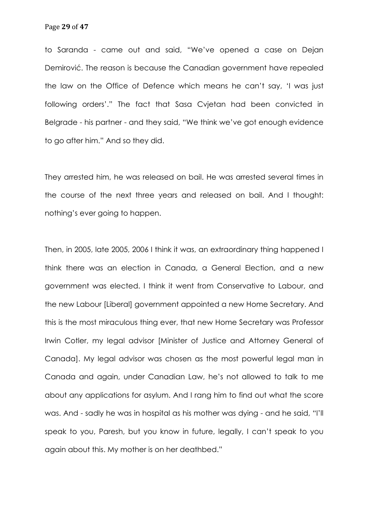to Saranda - came out and said, "We've opened a case on Dejan Demirović. The reason is because the Canadian government have repealed the law on the Office of Defence which means he can't say, 'I was just following orders'." The fact that Sasa Cvjetan had been convicted in Belgrade - his partner - and they said, "We think we've got enough evidence to go after him." And so they did.

They arrested him, he was released on bail. He was arrested several times in the course of the next three years and released on bail. And I thought: nothing's ever going to happen.

Then, in 2005, late 2005, 2006 I think it was, an extraordinary thing happened I think there was an election in Canada, a General Election, and a new government was elected. I think it went from Conservative to Labour, and the new Labour [Liberal] government appointed a new Home Secretary. And this is the most miraculous thing ever, that new Home Secretary was Professor Irwin Cotler, my legal advisor [Minister of Justice and Attorney General of Canada]. My legal advisor was chosen as the most powerful legal man in Canada and again, under Canadian Law, he's not allowed to talk to me about any applications for asylum. And I rang him to find out what the score was. And - sadly he was in hospital as his mother was dying - and he said, "I'll speak to you, Paresh, but you know in future, legally, I can't speak to you again about this. My mother is on her deathbed."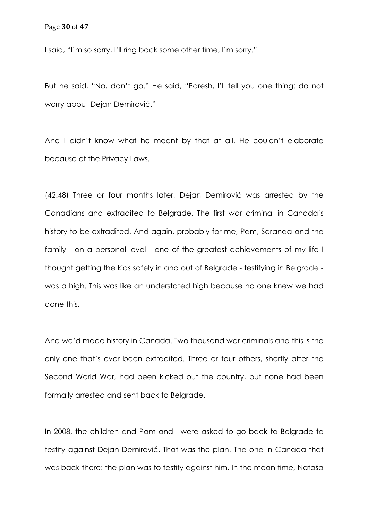I said, "I'm so sorry, I'll ring back some other time, I'm sorry."

But he said, "No, don't go." He said, "Paresh, I'll tell you one thing: do not worry about Dejan Demirović."

And I didn't know what he meant by that at all. He couldn't elaborate because of the Privacy Laws.

(42:48) Three or four months later, Dejan Demirović was arrested by the Canadians and extradited to Belgrade. The first war criminal in Canada's history to be extradited. And again, probably for me, Pam, Saranda and the family - on a personal level - one of the greatest achievements of my life I thought getting the kids safely in and out of Belgrade - testifying in Belgrade was a high. This was like an understated high because no one knew we had done this.

And we'd made history in Canada. Two thousand war criminals and this is the only one that's ever been extradited. Three or four others, shortly after the Second World War, had been kicked out the country, but none had been formally arrested and sent back to Belgrade.

In 2008, the children and Pam and I were asked to go back to Belgrade to testify against Dejan Demirović. That was the plan. The one in Canada that was back there: the plan was to testify against him. In the mean time, Nataša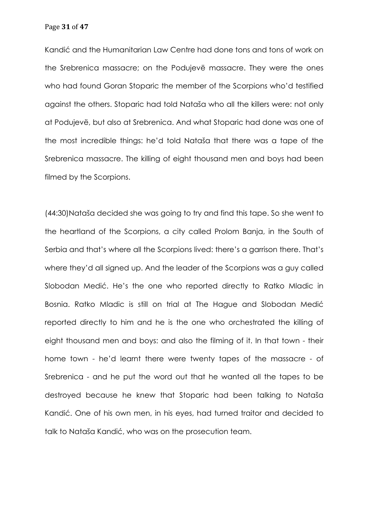Page **31** of **47**

Kandić and the Humanitarian Law Centre had done tons and tons of work on the Srebrenica massacre; on the Podujevë massacre. They were the ones who had found Goran Stoparic the member of the Scorpions who'd testified against the others. Stoparic had told Nataša who all the killers were: not only at Podujevë, but also at Srebrenica. And what Stoparic had done was one of the most incredible things: he'd told Nataša that there was a tape of the Srebrenica massacre. The killing of eight thousand men and boys had been filmed by the Scorpions.

(44:30)Nataša decided she was going to try and find this tape. So she went to the heartland of the Scorpions, a city called Prolom Banja, in the South of Serbia and that's where all the Scorpions lived: there's a garrison there. That's where they'd all signed up. And the leader of the Scorpions was a guy called Slobodan Medić. He's the one who reported directly to Ratko Mladic in Bosnia. Ratko Mladic is still on trial at The Hague and Slobodan Medić reported directly to him and he is the one who orchestrated the killing of eight thousand men and boys: and also the filming of it. In that town - their home town - he'd learnt there were twenty tapes of the massacre - of Srebrenica - and he put the word out that he wanted all the tapes to be destroyed because he knew that Stoparic had been talking to Nataša Kandić. One of his own men, in his eyes, had turned traitor and decided to talk to Nataša Kandić, who was on the prosecution team.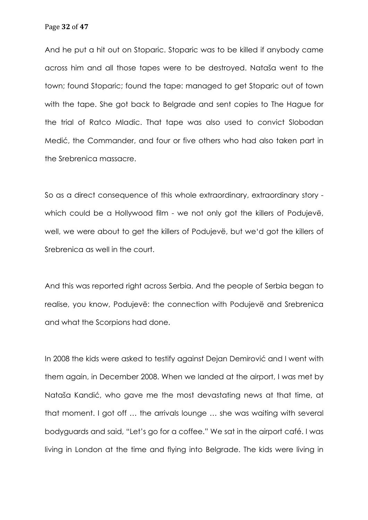And he put a hit out on Stoparic. Stoparic was to be killed if anybody came across him and all those tapes were to be destroyed. Nataša went to the town; found Stoparic; found the tape: managed to get Stoparic out of town with the tape. She got back to Belgrade and sent copies to The Hague for the trial of Ratco Mladic. That tape was also used to convict Slobodan Medić, the Commander, and four or five others who had also taken part in the Srebrenica massacre.

So as a direct consequence of this whole extraordinary, extraordinary story which could be a Hollywood film - we not only got the killers of Podujevë, well, we were about to get the killers of Podujevë, but we'd got the killers of Srebrenica as well in the court.

And this was reported right across Serbia. And the people of Serbia began to realise, you know, Podujevë: the connection with Podujevë and Srebrenica and what the Scorpions had done.

In 2008 the kids were asked to testify against Dejan Demirović and I went with them again, in December 2008. When we landed at the airport, I was met by Nataša Kandić, who gave me the most devastating news at that time, at that moment. I got off … the arrivals lounge … she was waiting with several bodyguards and said, "Let's go for a coffee." We sat in the airport café. I was living in London at the time and flying into Belgrade. The kids were living in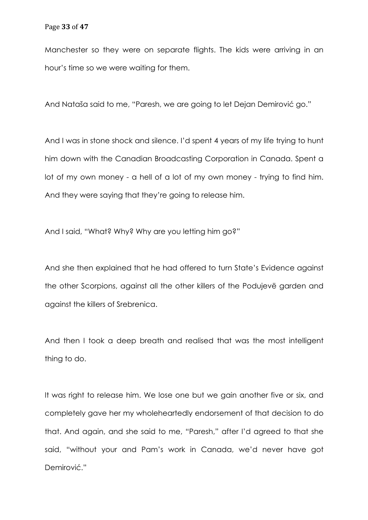Manchester so they were on separate flights. The kids were arriving in an hour's time so we were waiting for them.

And Nataša said to me, "Paresh, we are going to let Dejan Demirović go."

And I was in stone shock and silence. I'd spent 4 years of my life trying to hunt him down with the Canadian Broadcasting Corporation in Canada. Spent a lot of my own money - a hell of a lot of my own money - trying to find him. And they were saying that they're going to release him.

And I said, "What? Why? Why are you letting him go?"

And she then explained that he had offered to turn State's Evidence against the other Scorpions, against all the other killers of the Podujevë garden and against the killers of Srebrenica.

And then I took a deep breath and realised that was the most intelligent thing to do.

It was right to release him. We lose one but we gain another five or six, and completely gave her my wholeheartedly endorsement of that decision to do that. And again, and she said to me, "Paresh," after I'd agreed to that she said, "without your and Pam's work in Canada, we'd never have got Demirović."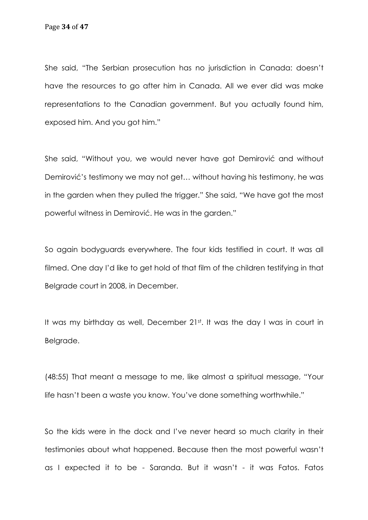She said, "The Serbian prosecution has no jurisdiction in Canada: doesn't have the resources to go after him in Canada. All we ever did was make representations to the Canadian government. But you actually found him, exposed him. And you got him."

She said, "Without you, we would never have got Demirović and without Demirović's testimony we may not get… without having his testimony, he was in the garden when they pulled the trigger." She said, "We have got the most powerful witness in Demirović. He was in the garden."

So again bodyguards everywhere. The four kids testified in court. It was all filmed. One day I'd like to get hold of that film of the children testifying in that Belgrade court in 2008, in December.

It was my birthday as well, December 21st. It was the day I was in court in Belgrade.

(48:55) That meant a message to me, like almost a spiritual message, "Your life hasn't been a waste you know. You've done something worthwhile."

So the kids were in the dock and I've never heard so much clarity in their testimonies about what happened. Because then the most powerful wasn't as I expected it to be - Saranda. But it wasn't - it was Fatos. Fatos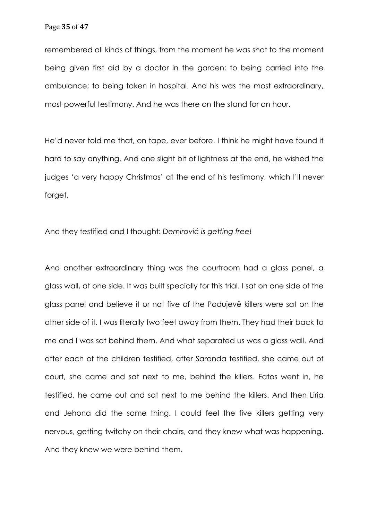remembered all kinds of things, from the moment he was shot to the moment being given first aid by a doctor in the garden; to being carried into the ambulance; to being taken in hospital. And his was the most extraordinary, most powerful testimony. And he was there on the stand for an hour.

He'd never told me that, on tape, ever before. I think he might have found it hard to say anything. And one slight bit of lightness at the end, he wished the judges 'a very happy Christmas' at the end of his testimony, which I'll never forget.

And they testified and I thought: *Demirović is getting free!*

And another extraordinary thing was the courtroom had a glass panel, a glass wall, at one side. It was built specially for this trial. I sat on one side of the glass panel and believe it or not five of the Podujevë killers were sat on the other side of it. I was literally two feet away from them. They had their back to me and I was sat behind them. And what separated us was a glass wall. And after each of the children testified, after Saranda testified, she came out of court, she came and sat next to me, behind the killers. Fatos went in, he testified, he came out and sat next to me behind the killers. And then Liria and Jehona did the same thing. I could feel the five killers getting very nervous, getting twitchy on their chairs, and they knew what was happening. And they knew we were behind them.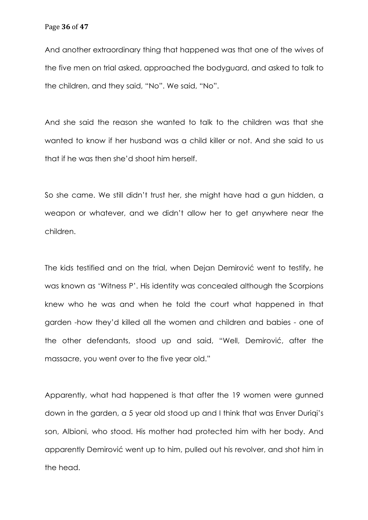And another extraordinary thing that happened was that one of the wives of the five men on trial asked, approached the bodyguard, and asked to talk to the children, and they said, "No". We said, "No".

And she said the reason she wanted to talk to the children was that she wanted to know if her husband was a child killer or not. And she said to us that if he was then she'd shoot him herself.

So she came. We still didn't trust her, she might have had a gun hidden, a weapon or whatever, and we didn't allow her to get anywhere near the children.

The kids testified and on the trial, when Dejan Demirović went to testify, he was known as 'Witness P'. His identity was concealed although the Scorpions knew who he was and when he told the court what happened in that garden -how they'd killed all the women and children and babies - one of the other defendants, stood up and said, "Well, Demirović, after the massacre, you went over to the five year old."

Apparently, what had happened is that after the 19 women were gunned down in the garden, a 5 year old stood up and I think that was Enver Duriqi's son, Albioni, who stood. His mother had protected him with her body. And apparently Demirović went up to him, pulled out his revolver, and shot him in the head.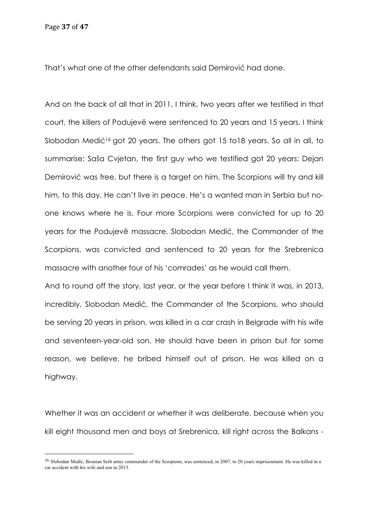That's what one of the other defendants said Demirović had done.

And on the back of all that in 2011, I think, two years after we testified in that court, the killers of Podujevë were sentenced to 20 years and 15 years, I think Slobodan Medić<sup>16</sup> got 20 years. The others got 15 to18 years. So all in all, to summarise: Saša Cvjetan, the first guy who we testified got 20 years: Dejan Demirović was free, but there is a target on him. The Scorpions will try and kill him, to this day. He can't live in peace. He's a wanted man in Serbia but noone knows where he is. Four more Scorpions were convicted for up to 20 years for the Podujevë massacre. Slobodan Medić, the Commander of the Scorpions, was convicted and sentenced to 20 years for the Srebrenica massacre with another four of his 'comrades' as he would call them.

And to round off the story, last year, or the year before I think it was, in 2013, incredibly, Slobodan Medić, the Commander of the Scorpions, who should be serving 20 years in prison, was killed in a car crash in Belgrade with his wife and seventeen-year-old son. He should have been in prison but for some reason, we believe, he bribed himself out of prison. He was killed on a highway.

Whether it was an accident or whether it was deliberate, because when you kill eight thousand men and boys at Srebrenica, kill right across the Balkans -

<sup>16</sup> Slobodan Medić, Bosnian Serb army commander of the Scorpions, was sentenced, in 2007, to 20 years imprisonment. He was killed in a car accident with his wife and son in 2013.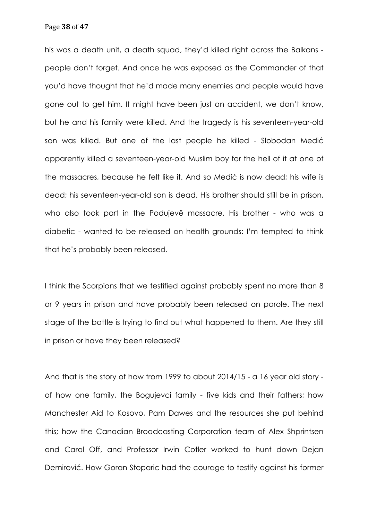his was a death unit, a death squad, they'd killed right across the Balkans people don't forget. And once he was exposed as the Commander of that you'd have thought that he'd made many enemies and people would have gone out to get him. It might have been just an accident, we don't know, but he and his family were killed. And the tragedy is his seventeen-year-old son was killed. But one of the last people he killed - Slobodan Medić apparently killed a seventeen-year-old Muslim boy for the hell of it at one of the massacres, because he felt like it. And so Medić is now dead; his wife is dead; his seventeen-year-old son is dead. His brother should still be in prison, who also took part in the Podujevë massacre. His brother - who was a diabetic - wanted to be released on health grounds: I'm tempted to think that he's probably been released.

I think the Scorpions that we testified against probably spent no more than 8 or 9 years in prison and have probably been released on parole. The next stage of the battle is trying to find out what happened to them. Are they still in prison or have they been released?

And that is the story of how from 1999 to about 2014/15 - a 16 year old story of how one family, the Bogujevci family - five kids and their fathers; how Manchester Aid to Kosovo, Pam Dawes and the resources she put behind this; how the Canadian Broadcasting Corporation team of Alex Shprintsen and Carol Off, and Professor Irwin Cotler worked to hunt down Dejan Demirović. How Goran Stoparic had the courage to testify against his former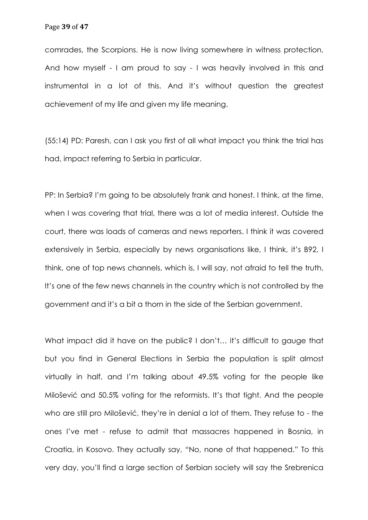comrades, the Scorpions. He is now living somewhere in witness protection. And how myself - I am proud to say - I was heavily involved in this and instrumental in a lot of this. And it's without question the greatest achievement of my life and given my life meaning.

(55:14) PD: Paresh, can I ask you first of all what impact you think the trial has had, impact referring to Serbia in particular.

PP: In Serbia? I'm going to be absolutely frank and honest. I think, at the time, when I was covering that trial, there was a lot of media interest. Outside the court, there was loads of cameras and news reporters. I think it was covered extensively in Serbia, especially by news organisations like, I think, it's B92, I think, one of top news channels, which is, I will say, not afraid to tell the truth. It's one of the few news channels in the country which is not controlled by the government and it's a bit a thorn in the side of the Serbian government.

What impact did it have on the public? I don't... it's difficult to gauge that but you find in General Elections in Serbia the population is split almost virtually in half, and I'm talking about 49.5% voting for the people like Milošević and 50.5% voting for the reformists. It's that tight. And the people who are still pro Milošević, they're in denial a lot of them. They refuse to - the ones I've met - refuse to admit that massacres happened in Bosnia, in Croatia, in Kosovo. They actually say, "No, none of that happened." To this very day, you'll find a large section of Serbian society will say the Srebrenica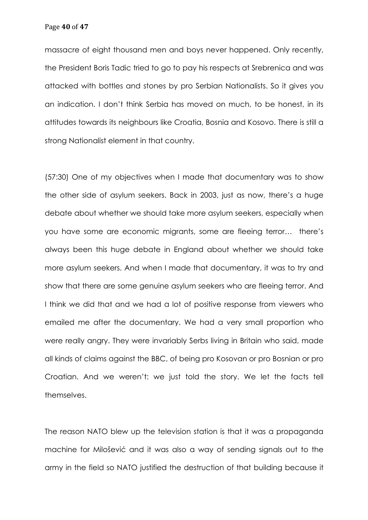Page **40** of **47**

massacre of eight thousand men and boys never happened. Only recently, the President Boris Tadic tried to go to pay his respects at Srebrenica and was attacked with bottles and stones by pro Serbian Nationalists. So it gives you an indication. I don't think Serbia has moved on much, to be honest, in its attitudes towards its neighbours like Croatia, Bosnia and Kosovo. There is still a strong Nationalist element in that country.

(57:30) One of my objectives when I made that documentary was to show the other side of asylum seekers. Back in 2003, just as now, there's a huge debate about whether we should take more asylum seekers, especially when you have some are economic migrants, some are fleeing terror… there's always been this huge debate in England about whether we should take more asylum seekers. And when I made that documentary, it was to try and show that there are some genuine asylum seekers who are fleeing terror. And I think we did that and we had a lot of positive response from viewers who emailed me after the documentary. We had a very small proportion who were really angry. They were invariably Serbs living in Britain who said, made all kinds of claims against the BBC, of being pro Kosovan or pro Bosnian or pro Croatian. And we weren't: we just told the story. We let the facts tell themselves.

The reason NATO blew up the television station is that it was a propaganda machine for Milošević and it was also a way of sending signals out to the army in the field so NATO justified the destruction of that building because it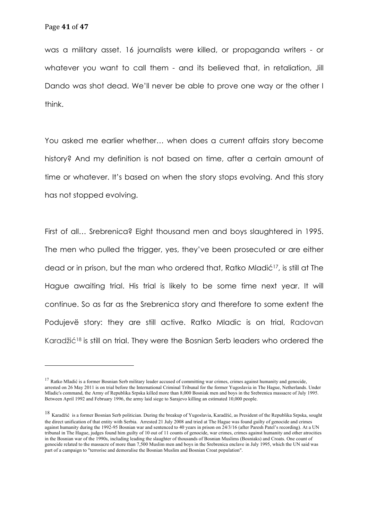was a military asset. 16 journalists were killed, or propaganda writers - or whatever you want to call them - and its believed that, in retaliation, Jill Dando was shot dead. We'll never be able to prove one way or the other I think.

You asked me earlier whether… when does a current affairs story become history? And my definition is not based on time, after a certain amount of time or whatever. It's based on when the story stops evolving. And this story has not stopped evolving.

First of all… Srebrenica? Eight thousand men and boys slaughtered in 1995. The men who pulled the trigger, yes, they've been prosecuted or are either dead or in prison, but the man who ordered that, Ratko Mladić17, is still at The Hague awaiting trial. His trial is likely to be some time next year. It will continue. So as far as the Srebrenica story and therefore to some extent the Podujevë story: they are still active. Ratko Mladic is on trial, Radovan Karadžić<sup>18</sup> is still on trial. They were the Bosnian Serb leaders who ordered the

 $17$  Ratko Mladić is a former Bosnian Serb military leader accused of committing war crimes, crimes against humanity and genocide, arrested on 26 May 2011 is on trial before the International Criminal Tribunal for the former Yugoslavia in The Hague, Netherlands. Under Mladic's command, the Army of Republika Srpska killed more than 8,000 Bosniak men and boys in the Srebrenica massacre of July 1995. Between April 1992 and February 1996, the army laid siege to Sarajevo killing an estimated 10,000 people.

<sup>18</sup> Karadžić is a former Bosnian Serb politician. During the breakup of Yugoslavia, Karadžić, as President of the Republika Srpska, sought the direct unification of that entity with Serbia. Arrested 21 July 2008 and tried at The Hague was found guilty of genocide and crimes against humanity during the 1992-95 Bosnian war and sentenced to 40 years in prison on 24/3/16 (after Paresh Patel's recording). At a UN tribunal in The Hague, judges found him guilty of 10 out of 11 counts of genocide, war crimes, crimes against humanity and other atrocities in the Bosnian war of the 1990s, including leading the slaughter of thousands of Bosnian Muslims (Bosniaks) and Croats. One count of genocide related to the massacre of more than 7,500 Muslim men and boys in the Srebrenica enclave in July 1995, which the UN said was part of a campaign to "terrorise and demoralise the Bosnian Muslim and Bosnian Croat population".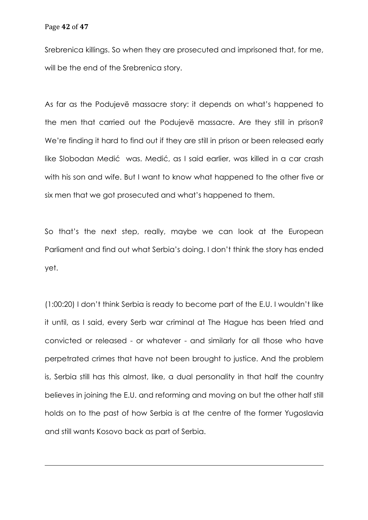Srebrenica killings. So when they are prosecuted and imprisoned that, for me, will be the end of the Srebrenica story.

As far as the Podujevë massacre story: it depends on what's happened to the men that carried out the Podujevë massacre. Are they still in prison? We're finding it hard to find out if they are still in prison or been released early like Slobodan Medić was. Medić, as I said earlier, was killed in a car crash with his son and wife. But I want to know what happened to the other five or six men that we got prosecuted and what's happened to them.

So that's the next step, really, maybe we can look at the European Parliament and find out what Serbia's doing. I don't think the story has ended yet.

(1:00:20) I don't think Serbia is ready to become part of the E.U. I wouldn't like it until, as I said, every Serb war criminal at The Hague has been tried and convicted or released - or whatever - and similarly for all those who have perpetrated crimes that have not been brought to justice. And the problem is, Serbia still has this almost, like, a dual personality in that half the country believes in joining the E.U. and reforming and moving on but the other half still holds on to the past of how Serbia is at the centre of the former Yugoslavia and still wants Kosovo back as part of Serbia.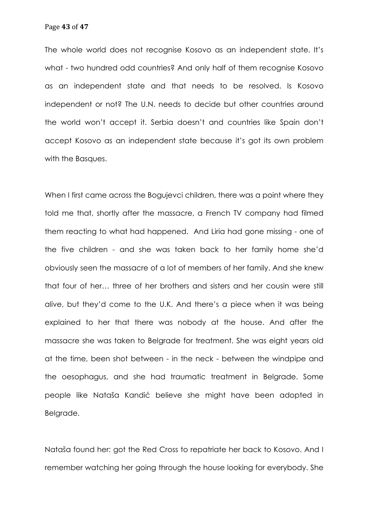The whole world does not recognise Kosovo as an independent state. It's what - two hundred odd countries? And only half of them recognise Kosovo as an independent state and that needs to be resolved. Is Kosovo independent or not? The U.N. needs to decide but other countries around the world won't accept it. Serbia doesn't and countries like Spain don't accept Kosovo as an independent state because it's got its own problem with the Basques.

When I first came across the Boquievci children, there was a point where they told me that, shortly after the massacre, a French TV company had filmed them reacting to what had happened. And Liria had gone missing - one of the five children - and she was taken back to her family home she'd obviously seen the massacre of a lot of members of her family. And she knew that four of her… three of her brothers and sisters and her cousin were still alive, but they'd come to the U.K. And there's a piece when it was being explained to her that there was nobody at the house. And after the massacre she was taken to Belgrade for treatment. She was eight years old at the time, been shot between - in the neck - between the windpipe and the oesophagus, and she had traumatic treatment in Belgrade. Some people like Nataša Kandić believe she might have been adopted in Belgrade.

Nataša found her: got the Red Cross to repatriate her back to Kosovo. And I remember watching her going through the house looking for everybody. She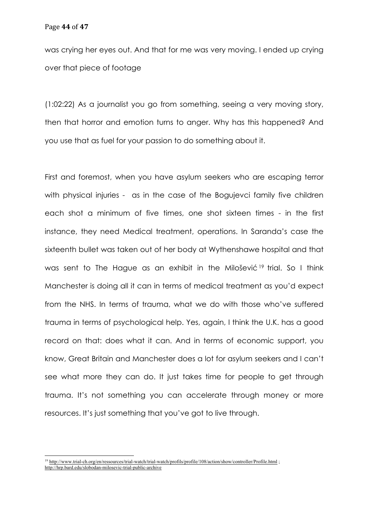was crying her eyes out. And that for me was very moving. I ended up crying over that piece of footage

(1:02:22) As a journalist you go from something, seeing a very moving story, then that horror and emotion turns to anger. Why has this happened? And you use that as fuel for your passion to do something about it.

First and foremost, when you have asylum seekers who are escaping terror with physical injuries - as in the case of the Bogujevci family five children each shot a minimum of five times, one shot sixteen times - in the first instance, they need Medical treatment, operations. In Saranda's case the sixteenth bullet was taken out of her body at Wythenshawe hospital and that was sent to The Hague as an exhibit in the Milošević<sup>19</sup> trial. So I think Manchester is doing all it can in terms of medical treatment as you'd expect from the NHS. In terms of trauma, what we do with those who've suffered trauma in terms of psychological help. Yes, again, I think the U.K. has a good record on that: does what it can. And in terms of economic support, you know, Great Britain and Manchester does a lot for asylum seekers and I can't see what more they can do. It just takes time for people to get through trauma. It's not something you can accelerate through money or more resources. It's just something that you've got to live through.

<sup>&</sup>lt;sup>19</sup> http://www.trial-ch.org/en/ressources/trial-watch/trial-watch/profils/profile/108/action/show/controller/Profile.html ; http://hrp.bard.edu/slobodan-milosevic-trial-public-archive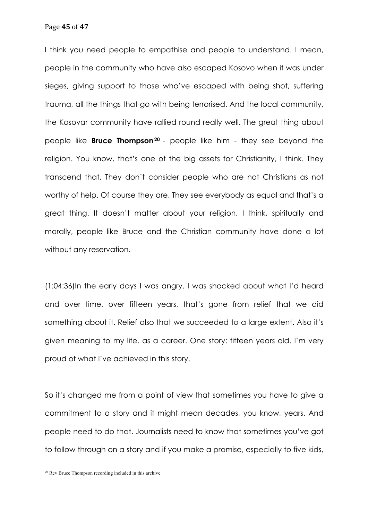Page **45** of **47**

I think you need people to empathise and people to understand. I mean, people in the community who have also escaped Kosovo when it was under sieges, giving support to those who've escaped with being shot, suffering trauma, all the things that go with being terrorised. And the local community, the Kosovar community have rallied round really well. The great thing about people like **Bruce Thompson20** - people like him - they see beyond the religion. You know, that's one of the big assets for Christianity, I think. They transcend that. They don't consider people who are not Christians as not worthy of help. Of course they are. They see everybody as equal and that's a great thing. It doesn't matter about your religion. I think, spiritually and morally, people like Bruce and the Christian community have done a lot without any reservation.

(1:04:36)In the early days I was angry. I was shocked about what I'd heard and over time, over fifteen years, that's gone from relief that we did something about it. Relief also that we succeeded to a large extent. Also it's given meaning to my life, as a career. One story: fifteen years old. I'm very proud of what I've achieved in this story.

So it's changed me from a point of view that sometimes you have to give a commitment to a story and it might mean decades, you know, years. And people need to do that. Journalists need to know that sometimes you've got to follow through on a story and if you make a promise, especially to five kids,

<sup>20</sup> Rev Bruce Thompson recording included in this archive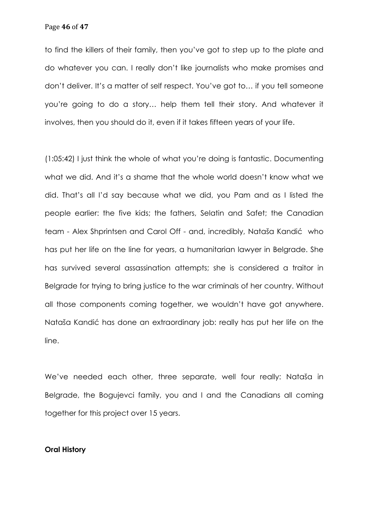Page **46** of **47**

to find the killers of their family, then you've got to step up to the plate and do whatever you can. I really don't like journalists who make promises and don't deliver. It's a matter of self respect. You've got to… if you tell someone you're going to do a story… help them tell their story. And whatever it involves, then you should do it, even if it takes fifteen years of your life.

(1:05:42) I just think the whole of what you're doing is fantastic. Documenting what we did. And it's a shame that the whole world doesn't know what we did. That's all I'd say because what we did, you Pam and as I listed the people earlier: the five kids; the fathers, Selatin and Safet; the Canadian team - Alex Shprintsen and Carol Off - and, incredibly, Nataša Kandić who has put her life on the line for years, a humanitarian lawyer in Belgrade. She has survived several assassination attempts; she is considered a traitor in Belgrade for trying to bring justice to the war criminals of her country. Without all those components coming together, we wouldn't have got anywhere. Nataša Kandić has done an extraordinary job: really has put her life on the line.

We've needed each other, three separate, well four really: Nataša in Belgrade, the Bogujevci family, you and I and the Canadians all coming together for this project over 15 years.

## **Oral History**